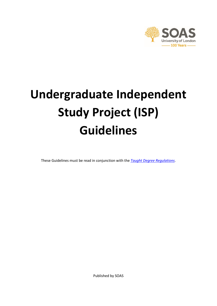

# **Undergraduate Independent Study Project (ISP) Guidelines**

These Guidelines must be read in conjunction with the *[Taught Degree Regulations](https://www.soas.ac.uk/registry/degreeregulations/)*.

Published by SOAS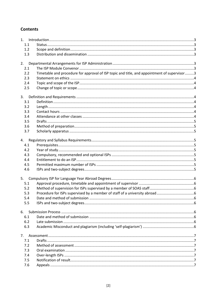## **Contents**

<span id="page-1-0"></span>

| 1.1 |                                                                                             |  |
|-----|---------------------------------------------------------------------------------------------|--|
| 1.2 |                                                                                             |  |
| 1.3 |                                                                                             |  |
| 2.  |                                                                                             |  |
| 2.1 |                                                                                             |  |
| 2.2 | Timetable and procedure for approval of ISP topic and title, and appointment of supervisor3 |  |
| 2.3 |                                                                                             |  |
| 2.4 |                                                                                             |  |
| 2.5 |                                                                                             |  |
| 3.  |                                                                                             |  |
| 3.1 |                                                                                             |  |
| 3.2 |                                                                                             |  |
| 3.3 |                                                                                             |  |
| 3.4 |                                                                                             |  |
| 3.5 |                                                                                             |  |
| 3.6 |                                                                                             |  |
| 3.7 |                                                                                             |  |
| 4.  |                                                                                             |  |
| 4.1 |                                                                                             |  |
| 4.2 |                                                                                             |  |
| 4.3 |                                                                                             |  |
| 4.4 |                                                                                             |  |
| 4.5 |                                                                                             |  |
| 4.6 |                                                                                             |  |
| 5.  |                                                                                             |  |
| 5.1 |                                                                                             |  |
| 5.2 |                                                                                             |  |
| 5.3 |                                                                                             |  |
| 5.4 |                                                                                             |  |
| 5.5 |                                                                                             |  |
| 6.  |                                                                                             |  |
| 6.1 |                                                                                             |  |
| 6.2 |                                                                                             |  |
| 6.3 |                                                                                             |  |
| 7.  |                                                                                             |  |
| 7.1 |                                                                                             |  |
| 7.2 |                                                                                             |  |
| 7.3 |                                                                                             |  |
| 7.4 |                                                                                             |  |
| 7.5 |                                                                                             |  |
| 7.6 |                                                                                             |  |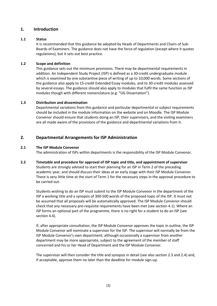## **1. Introduction**

#### <span id="page-2-0"></span>**1.1 Status**

It is recommended that this guidance be adopted by Heads of Departments and Chairs of Sub-Boards of Examiners. The guidance does not have the force of regulation (except where it quotes regulations), but it sets out best practice.

### <span id="page-2-1"></span>**1.2 Scope and definition**

This guidance sets out the minimum provisions. There may be departmental requirements in addition. An Independent Study Project (ISP) is defined as a 30-credit undergraduate module which is examined by one substantive piece of writing of up to 10,000 words. Some sections of the guidance also apply to 15-credit Extended Essay modules, and to 30-credit modules assessed by several essays. The guidance should also apply to modules that fulfil the same function as ISP modules though with different nomenclature (e.g. "UG Dissertation").

#### <span id="page-2-2"></span>**1.3 Distribution and dissemination**

Departmental variations from this guidance and particular departmental or subject requirements should be included in the module information on the website and on Moodle. The ISP Module Convenor should ensure that students doing an ISP, their supervisors, and the visiting examiners are all made aware of the provisions of the guidance and departmental variations from it.

## <span id="page-2-3"></span>**2. Departmental Arrangements for ISP Administration**

#### <span id="page-2-4"></span>**2.1 The ISP Module Convenor**

The administration of ISPs within departments is the responsibility of the ISP Module Convenor.

<span id="page-2-5"></span>**2.2 Timetable and procedure for approval of ISP topic and title, and appointment of supervisor** Students are strongly advised to start their planning for an ISP in Term 2 of the preceding academic year, and should discuss their ideas at an early stage with their ISP Module Convenor. There is very little time at the start of Term 1 for the necessary steps in the approval procedure to be carried out.

Students wishing to do an ISP must submit to the ISP Module Convenor in the department of the ISP a working title and a synopsis of 300-500 words of the proposed topic of the ISP. It must not be assumed that all proposals will be automatically approved. The ISP Module Convenor should check that any necessary pre-requisite requirements have been met (see section 4.1). Where an ISP forms an optional part of the programme, there is no right for a student to do an ISP (see section 4.4).

If, after appropriate consultation, the ISP Module Convenor approves the topic in outline, the ISP Module Convenor will nominate a supervisor for the ISP. The supervisor will normally be from the ISP Module Convenor's own department, although occasionally a supervisor from another department may be more appropriate, subject to the agreement of the member of staff concerned and his or her Head of Department and the ISP Module Convenor.

The supervisor will then consider the title and synopsis in detail (see also section 2.3 and 2.4) and, if acceptable, approve them no later than the deadline for module sign-up.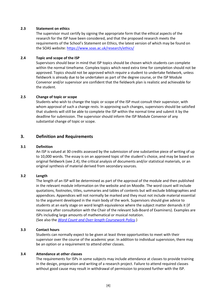### <span id="page-3-0"></span>**2.3 Statement on ethics**

The supervisor must certify by signing the appropriate form that the ethical aspects of the research for the ISP have been considered, and that the proposed research meets the requirements of the School's Statement on Ethics, the latest version of which may be found on the SOAS website[: https://www.soas.ac.uk/research/ethics/](https://www.soas.ac.uk/research/ethics/)

### <span id="page-3-1"></span>**2.4 Topic and scope of the ISP**

Supervisors should bear in mind that ISP topics should be chosen which students can complete within the normal timeframe. Complex topics which need extra time for completion should not be approved. Topics should not be approved which *require* a student to undertake fieldwork, unless fieldwork is already due to be undertaken as part of the degree course, or the ISP Module Convenor and/or supervisor are confident that the fieldwork plan is realistic and achievable for the student.

#### <span id="page-3-2"></span>**2.5 Change of topic or scope**

Students who wish to change the topic or scope of the ISP must consult their supervisor, with whom approval of such a change rests. In approving such changes, supervisors should be satisfied that students will still be able to complete the ISP within the normal time and submit it by the deadline for submission. The supervisor should inform the ISP Module Convenor of any substantial change of topic or scope.

## <span id="page-3-3"></span>**3. Definition and Requirements**

#### <span id="page-3-4"></span>**3.1 Definition**

An ISP is valued at 30 credits assessed by the submission of one substantive piece of writing of up to 10,000 words. The essay is on an approved topic of the student's choice, and may be based on original fieldwork (see 2.4), the critical analysis of documents and/or statistical materials, or an original synthesis of material derived from secondary sources.

#### <span id="page-3-5"></span>**3.2 Length**

The length of an ISP will be determined as part of the approval of the module and then published in the relevant module information on the website and on Moodle. The word count will include quotations, footnotes, titles, summaries and tables of contents but will exclude bibliographies and appendices. Appendices will not normally be marked and they must not include material essential to the argument developed in the main body of the work. Supervisors should give advice to students at an early stage on word length equivalence where the subject matter demands it (if necessary after consultation with the Chair of the relevant Sub-Board of Examiners). Examples are ISPs including large amounts of mathematical or musical notation. (See also the *[Word Count and Over-length Coursework Policy](https://www.soas.ac.uk/registry/degreeregulations/)*.)

#### <span id="page-3-6"></span>**3.3 Contact hours**

Students can normally expect to be given at least three opportunities to meet with their supervisor over the course of the academic year. In addition to individual supervision, there may be an option or a requirement to attend other classes.

#### <span id="page-3-7"></span>**3.4 Attendance at other classes**

The requirements for ISPs in some subjects may include attendance at classes to provide training in the design, preparation and writing of a research project. Failure to attend required classes without good cause may result in withdrawal of permission to proceed further with the ISP.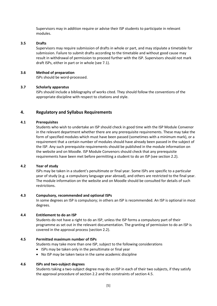Supervisors may in addition require or advise their ISP students to participate in relevant modules.

#### <span id="page-4-0"></span>**3.5 Drafts**

Supervisors may require submission of drafts in whole or part, and may stipulate a timetable for submission. Failure to submit drafts according to the timetable and without good cause may result in withdrawal of permission to proceed further with the ISP. Supervisors should not mark draft ISPs, either in part or in whole (see 7.1).

#### <span id="page-4-1"></span>**3.6 Method of preparation**

ISPs should be word-processed.

#### <span id="page-4-2"></span>**3.7 Scholarly apparatus**

ISPs should include a bibliography of works cited. They should follow the conventions of the appropriate discipline with respect to citations and style.

## <span id="page-4-3"></span>**4. Regulatory and Syllabus Requirements**

#### <span id="page-4-4"></span>**4.1 Prerequisites**

Students who wish to undertake an ISP should check in good time with the ISP Module Convenor in the relevant department whether there are any prerequisite requirements. These may take the form of specified modules which must have been passed (sometimes with a minimum mark), or a requirement that a certain number of modules should have already been passed in the subject of the ISP. Any such prerequisite requirements should be published in the module information on the website and on Moodle. ISP Module Convenors should check that any prerequisite requirements have been met before permitting a student to do an ISP (see section 2.2).

#### <span id="page-4-5"></span>**4.2 Year of study**

ISPs may be taken in a student's penultimate or final year. Some ISPs are specific to a particular year of study (e.g. a compulsory language year abroad), and others are restricted to the final year. The module information on the website and on Moodle should be consulted for details of such restrictions.

#### <span id="page-4-6"></span>**4.3 Compulsory, recommended and optional ISPs**

In some degrees an ISP is compulsory; in others an ISP is recommended. An ISP is optional in most degrees.

#### <span id="page-4-7"></span>**4.4 Entitlement to do an ISP**

Students do not have a right to do an ISP, unless the ISP forms a compulsory part of their programme as set out in the relevant documentation. The granting of permission to do an ISP is covered in the approval process (section 2.2).

#### <span id="page-4-8"></span>**4.5 Permitted maximum number of ISPs**

Students may take more than one ISP, subject to the following considerations

- ISPs may be taken only in the penultimate or final year
- No ISP may be taken twice in the same academic discipline

#### <span id="page-4-9"></span>**4.6 ISPs and two-subject degrees**

Students taking a two-subject degree may do an ISP in each of their two subjects, if they satisfy the approval procedure of section 2.2 and the constraints of section 4.5.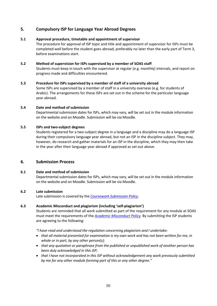## <span id="page-5-0"></span>**5. Compulsory ISP for Language Year Abroad Degrees**

## <span id="page-5-1"></span>**5.1 Approval procedure, timetable and appointment of supervisor**

The procedure for approval of ISP topic and title and appointment of supervisor for ISPs must be completed well before the student goes abroad, preferably no later than the early part of Term 3, before examinations start.

#### <span id="page-5-2"></span>**5.2 Method of supervision for ISPs supervised by a member of SOAS staff**

Students must keep in touch with the supervisor at regular (e.g. monthly) intervals, and report on progress made and difficulties encountered.

#### <span id="page-5-3"></span>**5.3 Procedure for ISPs supervised by a member of staff of a university abroad**

Some ISPs are supervised by a member of staff in a university overseas (e.g. for students of Arabic). The arrangements for these ISPs are set out in the scheme for the particular language year abroad.

#### <span id="page-5-4"></span>**5.4 Date and method of submission**

Departmental submission dates for ISPs, which may vary, will be set out in the module information on the website and on Moodle. Submission will be via Moodle.

#### <span id="page-5-5"></span>**5.5 ISPs and two-subject degrees**

Students registered for a two-subject degree in a language and a discipline may do a language ISP during their compulsory language year abroad, but not an ISP in the discipline subject. They may, however, do research and gather materials for an ISP in the discipline, which they may then take in the year after their language year abroad if approved as set out above.

## <span id="page-5-6"></span>**6. Submission Process**

## <span id="page-5-7"></span>**6.1 Date and method of submission**

Departmental submission dates for ISPs, which may vary, will be set out in the module information on the website and on Moodle. Submission will be via Moodle.

## <span id="page-5-8"></span>**6.2 Late submission**

Late submission is covered by the *[Coursework Submission Policy](https://www.soas.ac.uk/registry/degreeregulations/)*.

## <span id="page-5-9"></span>**6.3 Academic Misconduct and plagiarism (including 'self-plagiarism')**

Students are reminded that all work submitted as part of the requirement for any module at SOAS must meet the requirements of the *[Academic Misconduct Policy.](https://www.soas.ac.uk/registry/degreeregulations/)* By submitting the ISP students are agreeing to the following:

*"I have read and understood the regulation concerning plagiarism and I undertake:* 

- *that all material presented for examination is my own work and has not been written for me, in whole or in part, by any other person(s);*
- *that any quotation or paraphrase from the published or unpublished work of another person has been duly acknowledged in this ISP;*
- *that I have not incorporated in this ISP without acknowledgement any work previously submitted by me for any other module forming part of this or any other degree."*